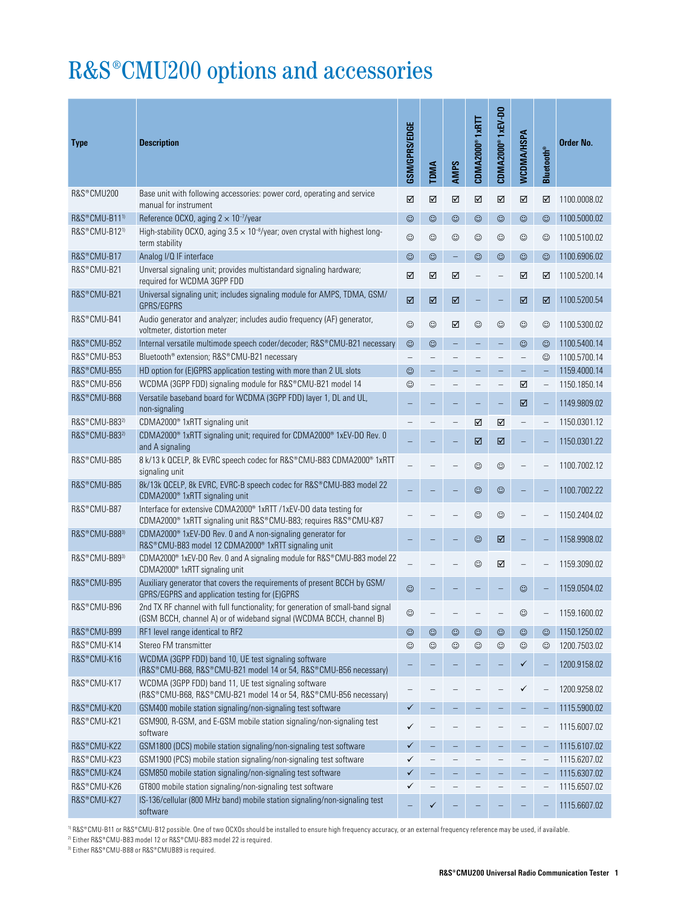## R&S®CMU200 options and accessories

| <b>Type</b>               | <b>Description</b>                                                                                                                                            | GSM/GPRS/EDGE | <b>TDMA</b> | <b>AMPS</b> | CDMA2000®1xRTT | CDMA2000 <sup>®</sup> 1xEV-D0 | WCDMA/HSPA     | <b>Bluetooth®</b> | Order No.    |
|---------------------------|---------------------------------------------------------------------------------------------------------------------------------------------------------------|---------------|-------------|-------------|----------------|-------------------------------|----------------|-------------------|--------------|
| R&S®CMU200                | Base unit with following accessories: power cord, operating and service<br>manual for instrument                                                              | ☑             | ☑           | ☑           | $\boxtimes$    | $\boxtimes$                   | ☑              | ☑                 | 1100.0008.02 |
| R&S®CMU-B11 <sup>1)</sup> | Reference OCXO, aging $2 \times 10^{-7}$ /year                                                                                                                | $\odot$       | $\odot$     | $\odot$     | $\odot$        | $\odot$                       | $\odot$        | ☺                 | 1100.5000.02 |
| R&S®CMU-B12 <sup>1)</sup> | High-stability OCXO, aging $3.5 \times 10^{-8}$ /year; oven crystal with highest long-<br>term stability                                                      | $\odot$       | $\odot$     | $\odot$     | $_{\odot}$     | $\odot$                       | $_{\odot}$     | ☺                 | 1100.5100.02 |
| R&S®CMU-B17               | Analog I/Q IF interface                                                                                                                                       | $\odot$       | $\odot$     | $\equiv$    | $\odot$        | $\odot$                       | $\odot$        | ☺                 | 1100.6906.02 |
| R&S®CMU-B21               | Unversal signaling unit; provides multistandard signaling hardware;<br>required for WCDMA 3GPP FDD                                                            | ☑             | ☑           | ☑           |                |                               | ☑              | ☑                 | 1100.5200.14 |
| R&S®CMU-B21               | Universal signaling unit; includes signaling module for AMPS, TDMA, GSM/<br>GPRS/EGPRS                                                                        | ☑             | ☑           | ☑           |                |                               | ☑              | ☑                 | 1100.5200.54 |
| R&S®CMU-B41               | Audio generator and analyzer; includes audio frequency (AF) generator,<br>voltmeter, distortion meter                                                         | $\odot$       | $\odot$     | ☑           | $\odot$        | $\odot$                       | $_{\odot}$     | ☺                 | 1100.5300.02 |
| R&S®CMU-B52               | Internal versatile multimode speech coder/decoder; R&S®CMU-B21 necessary                                                                                      | $\odot$       | $\odot$     |             |                |                               | $\odot$        | ☺                 | 1100.5400.14 |
| R&S®CMU-B53               | Bluetooth <sup>®</sup> extension; R&S®CMU-B21 necessary                                                                                                       |               |             |             |                |                               | $\overline{a}$ | ☺                 | 1100.5700.14 |
| R&S®CMU-B55               | HD option for (E)GPRS application testing with more than 2 UL slots                                                                                           | $\odot$       |             |             |                |                               |                |                   | 1159.4000.14 |
| R&S®CMU-B56               | WCDMA (3GPP FDD) signaling module for R&S®CMU-B21 model 14                                                                                                    | $\odot$       |             |             |                |                               | ☑              |                   | 1150.1850.14 |
| R&S®CMU-B68               | Versatile baseband board for WCDMA (3GPP FDD) layer 1, DL and UL,<br>non-signaling                                                                            |               |             |             |                |                               | ☑              |                   | 1149.9809.02 |
| R&S®CMU-B832)             | CDMA2000 <sup>®</sup> 1xRTT signaling unit                                                                                                                    |               |             |             | ☑              | ☑                             |                |                   | 1150.0301.12 |
| R&S®CMU-B832)             | CDMA2000 <sup>®</sup> 1xRTT signaling unit; required for CDMA2000 <sup>®</sup> 1xEV-DO Rev. 0<br>and A signaling                                              |               |             |             | ☑              | ☑                             |                |                   | 1150.0301.22 |
| R&S®CMU-B85               | 8 k/13 k QCELP, 8k EVRC speech codec for R&S®CMU-B83 CDMA2000® 1xRTT<br>signaling unit                                                                        |               |             |             | $_{\odot}$     | $\odot$                       |                |                   | 1100.7002.12 |
| R&S®CMU-B85               | 8k/13k QCELP, 8k EVRC, EVRC-B speech codec for R&S®CMU-B83 model 22<br>CDMA2000 <sup>®</sup> 1xRTT signaling unit                                             |               |             |             | $_{\odot}$     | $_{\odot}$                    |                |                   | 1100.7002.22 |
| R&S®CMU-B87               | Interface for extensive CDMA2000 <sup>®</sup> 1xRTT /1xEV-DO data testing for<br>CDMA2000 <sup>®</sup> 1xRTT signaling unit R&S®CMU-B83; requires R&S®CMU-K87 |               |             |             | $\odot$        | $\odot$                       |                |                   | 1150.2404.02 |
| R&S®CMU-B883)             | CDMA2000 <sup>®</sup> 1xEV-DO Rev. 0 and A non-signaling generator for<br>R&S®CMU-B83 model 12 CDMA2000® 1xRTT signaling unit                                 |               |             |             | $\odot$        | ☑                             |                |                   | 1158.9908.02 |
| R&S®CMU-B893)             | CDMA2000 <sup>®</sup> 1xEV-DO Rev. 0 and A signaling module for R&S®CMU-B83 model 22<br>CDMA2000 <sup>®</sup> 1xRTT signaling unit                            |               |             |             | $\odot$        | ☑                             |                |                   | 1159.3090.02 |
| R&S®CMU-B95               | Auxiliary generator that covers the requirements of present BCCH by GSM/<br>GPRS/EGPRS and application testing for (E)GPRS                                    | $\odot$       |             |             |                |                               | $\odot$        |                   | 1159.0504.02 |
| R&S®CMU-B96               | 2nd TX RF channel with full functionality; for generation of small-band signal<br>(GSM BCCH, channel A) or of wideband signal (WCDMA BCCH, channel B)         | $_{\odot}$    |             |             |                |                               | ☺              |                   | 1159.1600.02 |
| R&S®CMU-B99               | RF1 level range identical to RF2                                                                                                                              | $\odot$       | $\odot$     | $\odot$     | $\odot$        | $_{\odot}$                    | $\odot$        | ☺                 | 1150.1250.02 |
| R&S®CMU-K14               | Stereo FM transmitter                                                                                                                                         | ☺             | ☺           | $\odot$     | $_{\odot}$     | $\odot$                       | $_{\odot}$     | ☺                 | 1200.7503.02 |
| R&S®CMU-K16               | WCDMA (3GPP FDD) band 10, UE test signaling software<br>(R&S®CMU-B68, R&S®CMU-B21 model 14 or 54, R&S®CMU-B56 necessary)                                      |               |             |             |                |                               | ✓              |                   | 1200.9158.02 |
| R&S®CMU-K17               | WCDMA (3GPP FDD) band 11, UE test signaling software<br>(R&S®CMU-B68, R&S®CMU-B21 model 14 or 54, R&S®CMU-B56 necessary)                                      |               |             |             |                |                               |                |                   | 1200.9258.02 |
| R&S®CMU-K20               | GSM400 mobile station signaling/non-signaling test software                                                                                                   | ✓             |             |             |                |                               |                |                   | 1115.5900.02 |
| R&S®CMU-K21               | GSM900, R-GSM, and E-GSM mobile station signaling/non-signaling test<br>software                                                                              | ✓             |             |             |                |                               |                |                   | 1115.6007.02 |
| R&S®CMU-K22               | GSM1800 (DCS) mobile station signaling/non-signaling test software                                                                                            | ✓             |             |             |                |                               |                |                   | 1115.6107.02 |
| R&S®CMU-K23               | GSM1900 (PCS) mobile station signaling/non-signaling test software                                                                                            | ✓             |             |             |                |                               |                |                   | 1115.6207.02 |
| R&S®CMU-K24               | GSM850 mobile station signaling/non-signaling test software                                                                                                   | ✓             | -           |             |                |                               |                |                   | 1115.6307.02 |
| R&S®CMU-K26               | GT800 mobile station signaling/non-signaling test software                                                                                                    | ✓             |             |             |                |                               |                |                   | 1115.6507.02 |
| R&S®CMU-K27               | IS-136/cellular (800 MHz band) mobile station signaling/non-signaling test<br>software                                                                        |               | ✓           |             |                |                               |                |                   | 1115.6607.02 |

<sup>1)</sup> R&S®CMU-B11 or R&S®CMU-B12 possible. One of two OCXOs should be installed to ensure high frequency accuracy, or an external frequency reference may be used, if available.

 $^{2)}$  Either <code>R&S®CMU-B83</code> model 12 or <code>R&S®CMU-B83</code> model 22 is required. 3) Either R&S®CMU-B88 or R&S®CMUB89 is required.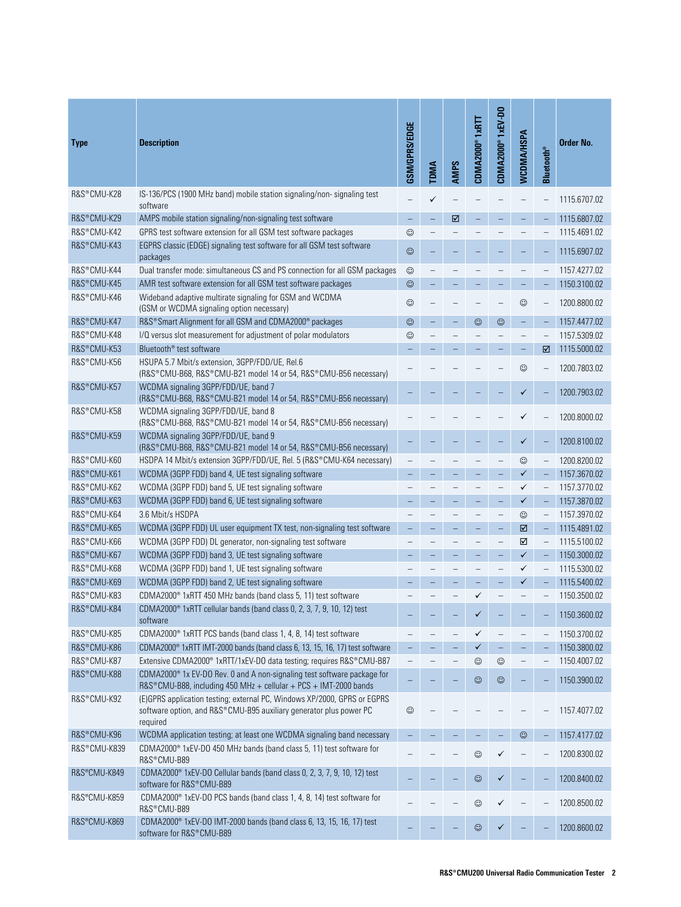| <b>Type</b>  | <b>Description</b>                                                                                                                                         | GSM/GPRS/EDGE            | <b>TDMA</b>       | <b>AMPS</b> | CDMA2000®1xRTT | <b>CDMA2000®1xEV-DO</b>  | <b>WCDMA/HSPA</b> | <b>Bluetooth®</b>        | Order No.    |
|--------------|------------------------------------------------------------------------------------------------------------------------------------------------------------|--------------------------|-------------------|-------------|----------------|--------------------------|-------------------|--------------------------|--------------|
| R&S®CMU-K28  | IS-136/PCS (1900 MHz band) mobile station signaling/non-signaling test<br>software                                                                         |                          | ✓                 |             |                |                          |                   |                          | 1115.6707.02 |
| R&S®CMU-K29  | AMPS mobile station signaling/non-signaling test software                                                                                                  | $\overline{\phantom{0}}$ | $\qquad \qquad -$ | ☑           |                |                          |                   |                          | 1115.6807.02 |
| R&S®CMU-K42  | GPRS test software extension for all GSM test software packages                                                                                            | $\odot$                  |                   |             |                |                          |                   |                          | 1115.4691.02 |
| R&S®CMU-K43  | EGPRS classic (EDGE) signaling test software for all GSM test software<br>packages                                                                         | $\odot$                  |                   |             |                |                          |                   |                          | 1115.6907.02 |
| R&S®CMU-K44  | Dual transfer mode: simultaneous CS and PS connection for all GSM packages                                                                                 | $_{\odot}$               |                   |             |                |                          |                   |                          | 1157.4277.02 |
| R&S®CMU-K45  | AMR test software extension for all GSM test software packages                                                                                             | $\odot$                  |                   |             |                |                          |                   |                          | 1150.3100.02 |
| R&S®CMU-K46  | Wideband adaptive multirate signaling for GSM and WCDMA<br>(GSM or WCDMA signaling option necessary)                                                       | $\odot$                  |                   |             |                |                          | $\odot$           |                          | 1200.8800.02 |
| R&S®CMU-K47  | R&S® Smart Alignment for all GSM and CDMA2000® packages                                                                                                    | $\odot$                  |                   |             | $\odot$        | $\odot$                  |                   |                          | 1157.4477.02 |
| R&S®CMU-K48  | I/Q versus slot measurement for adjustment of polar modulators                                                                                             | $\odot$                  |                   |             |                |                          |                   |                          | 1157.5309.02 |
| R&S®CMU-K53  | Bluetooth <sup>®</sup> test software                                                                                                                       |                          |                   |             |                |                          | ۳                 | ☑                        | 1115.5000.02 |
| R&S®CMU-K56  | HSUPA 5.7 Mbit/s extension, 3GPP/FDD/UE, Rel.6<br>(R&S®CMU-B68, R&S®CMU-B21 model 14 or 54, R&S®CMU-B56 necessary)                                         |                          |                   |             |                |                          | $\odot$           |                          | 1200.7803.02 |
| R&S®CMU-K57  | WCDMA signaling 3GPP/FDD/UE, band 7<br>(R&S®CMU-B68, R&S®CMU-B21 model 14 or 54, R&S®CMU-B56 necessary)                                                    |                          |                   |             |                |                          |                   |                          | 1200.7903.02 |
| R&S®CMU-K58  | WCDMA signaling 3GPP/FDD/UE, band 8<br>(R&S®CMU-B68, R&S®CMU-B21 model 14 or 54, R&S®CMU-B56 necessary)                                                    |                          |                   |             |                |                          |                   |                          | 1200.8000.02 |
| R&S®CMU-K59  | WCDMA signaling 3GPP/FDD/UE, band 9<br>(R&S®CMU-B68, R&S®CMU-B21 model 14 or 54, R&S®CMU-B56 necessary)                                                    |                          |                   |             |                |                          | ✓                 |                          | 1200.8100.02 |
| R&S®CMU-K60  | HSDPA 14 Mbit/s extension 3GPP/FDD/UE, Rel. 5 (R&S®CMU-K64 necessary)                                                                                      |                          |                   |             |                |                          | $\odot$           |                          | 1200.8200.02 |
| R&S®CMU-K61  | WCDMA (3GPP FDD) band 4, UE test signaling software                                                                                                        |                          |                   |             |                |                          | $\checkmark$      |                          | 1157.3670.02 |
| R&S®CMU-K62  | WCDMA (3GPP FDD) band 5, UE test signaling software                                                                                                        |                          |                   |             |                |                          | ✓                 |                          | 1157.3770.02 |
| R&S®CMU-K63  | WCDMA (3GPP FDD) band 6, UE test signaling software                                                                                                        |                          |                   |             |                |                          | $\checkmark$      |                          | 1157.3870.02 |
| R&S®CMU-K64  | 3.6 Mbit/s HSDPA                                                                                                                                           |                          |                   |             |                |                          | $\odot$           |                          | 1157.3970.02 |
| R&S®CMU-K65  | WCDMA (3GPP FDD) UL user equipment TX test, non-signaling test software                                                                                    |                          |                   |             |                |                          | ☑                 |                          | 1115.4891.02 |
| R&S®CMU-K66  | WCDMA (3GPP FDD) DL generator, non-signaling test software                                                                                                 |                          |                   |             |                | $\overline{\phantom{0}}$ | ☑                 | $\overline{\phantom{0}}$ | 1115.5100.02 |
| R&S®CMU-K67  | WCDMA (3GPP FDD) band 3, UE test signaling software                                                                                                        |                          |                   |             |                | L,                       | $\checkmark$      | $\overline{\phantom{0}}$ | 1150.3000.02 |
| R&S®CMU-K68  | WCDMA (3GPP FDD) band 1, UE test signaling software                                                                                                        |                          |                   |             |                |                          | ✓                 | $\qquad \qquad -$        | 1115.5300.02 |
| R&S®CMU-K69  | WCDMA (3GPP FDD) band 2, UE test signaling software                                                                                                        |                          |                   |             |                |                          | ✓                 |                          | 1115.5400.02 |
| R&S®CMU-K83  | CDMA2000 <sup>®</sup> 1xRTT 450 MHz bands (band class 5, 11) test software                                                                                 |                          |                   |             | ✓              |                          |                   |                          | 1150.3500.02 |
| R&S®CMU-K84  | CDMA2000 <sup>®</sup> 1xRTT cellular bands (band class 0, 2, 3, 7, 9, 10, 12) test<br>software                                                             |                          |                   |             | ✓              |                          |                   |                          | 1150.3600.02 |
| R&S®CMU-K85  | CDMA2000 <sup>®</sup> 1xRTT PCS bands (band class 1, 4, 8, 14) test software                                                                               |                          |                   |             | $\checkmark$   |                          |                   |                          | 1150.3700.02 |
| R&S®CMU-K86  | CDMA2000 <sup>®</sup> 1xRTT IMT-2000 bands (band class 6, 13, 15, 16, 17) test software                                                                    |                          |                   |             | $\checkmark$   |                          |                   |                          | 1150.3800.02 |
| R&S®CMU-K87  | Extensive CDMA2000 <sup>®</sup> 1xRTT/1xEV-DO data testing; requires R&S <sup>®</sup> CMU-B87                                                              |                          |                   |             | $_{\odot}$     | $\odot$                  |                   |                          | 1150.4007.02 |
| R&S®CMU-K88  | CDMA2000 <sup>®</sup> 1x EV-DO Rev. 0 and A non-signaling test software package for<br>R&S®CMU-B88, including 450 MHz + cellular + PCS + IMT-2000 bands    |                          |                   |             | $_{\odot}$     | ☺                        |                   |                          | 1150.3900.02 |
| R&S®CMU-K92  | (E)GPRS application testing; external PC, Windows XP/2000, GPRS or EGPRS<br>software option, and R&S®CMU-B95 auxiliary generator plus power PC<br>required | $_{\odot}$               |                   |             |                |                          |                   |                          | 1157.4077.02 |
| R&S®CMU-K96  | WCDMA application testing; at least one WCDMA signaling band necessary                                                                                     |                          |                   |             |                |                          | $\odot$           | -                        | 1157.4177.02 |
| R&S®CMU-K839 | CDMA2000 <sup>®</sup> 1xEV-DO 450 MHz bands (band class 5, 11) test software for<br>R&S®CMU-B89                                                            |                          |                   |             | $\odot$        |                          |                   |                          | 1200.8300.02 |
| R&S®CMU-K849 | CDMA2000 <sup>®</sup> 1xEV-DO Cellular bands (band class 0, 2, 3, 7, 9, 10, 12) test<br>software for R&S®CMU-B89                                           |                          |                   |             | $\odot$        | ✓                        |                   |                          | 1200.8400.02 |
| R&S®CMU-K859 | CDMA2000 <sup>®</sup> 1xEV-DO PCS bands (band class 1, 4, 8, 14) test software for<br>R&S®CMU-B89                                                          |                          |                   |             | $_{\odot}$     |                          |                   |                          | 1200.8500.02 |
| R&S®CMU-K869 | CDMA2000 <sup>®</sup> 1xEV-DO IMT-2000 bands (band class 6, 13, 15, 16, 17) test<br>software for R&S®CMU-B89                                               |                          |                   |             | $\odot$        | ✓                        |                   |                          | 1200.8600.02 |